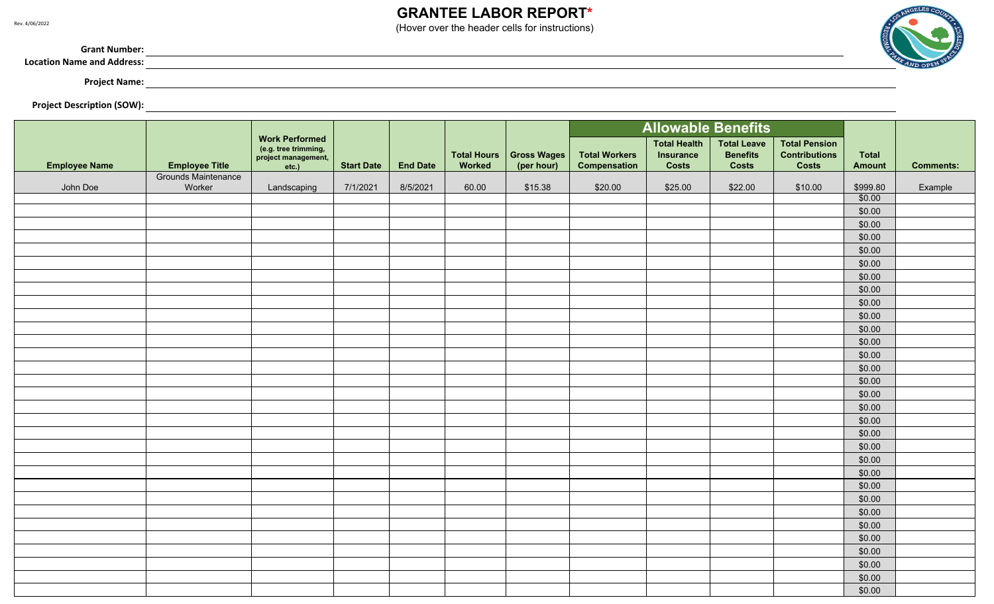## **GRANTEE LABOR REPORT\***

(Hover over the header cells for instructions)

,我们也不会有什么。""我们的人,我们也不会有什么?""我们的人,我们也不会有什么?""我们的人,我们也不会有什么?""我们的人,我们也不会有什么?""我们的人



**Grant Number:**

**Location Name and Address:**

**Project Name:**

**Project Description (SOW):**

|                      |                       |                                                                               |                   |                 |                              |                           | <b>Allowable Benefits</b>                   |                                                         |                                                       |                                                              |                               |                  |
|----------------------|-----------------------|-------------------------------------------------------------------------------|-------------------|-----------------|------------------------------|---------------------------|---------------------------------------------|---------------------------------------------------------|-------------------------------------------------------|--------------------------------------------------------------|-------------------------------|------------------|
| <b>Employee Name</b> | <b>Employee Title</b> | <b>Work Performed</b><br>(e.g. tree trimming,<br>project management,<br>etc.) | <b>Start Date</b> | <b>End Date</b> | <b>Total Hours</b><br>Worked | Gross Wages<br>(per hour) | <b>Total Workers</b><br><b>Compensation</b> | <b>Total Health</b><br><b>Insurance</b><br><b>Costs</b> | <b>Total Leave</b><br><b>Benefits</b><br><b>Costs</b> | <b>Total Pension</b><br><b>Contributions</b><br><b>Costs</b> | <b>Total</b><br><b>Amount</b> | <b>Comments:</b> |
|                      | Grounds Maintenance   |                                                                               |                   |                 |                              |                           |                                             |                                                         |                                                       |                                                              |                               |                  |
| John Doe             | Worker                | Landscaping                                                                   | 7/1/2021          | 8/5/2021        | 60.00                        | \$15.38                   | \$20.00                                     | \$25.00                                                 | \$22.00                                               | \$10.00                                                      | \$999.80<br>\$0.00            | Example          |
|                      |                       |                                                                               |                   |                 |                              |                           |                                             |                                                         |                                                       |                                                              | \$0.00                        |                  |
|                      |                       |                                                                               |                   |                 |                              |                           |                                             |                                                         |                                                       |                                                              | \$0.00                        |                  |
|                      |                       |                                                                               |                   |                 |                              |                           |                                             |                                                         |                                                       |                                                              | \$0.00                        |                  |
|                      |                       |                                                                               |                   |                 |                              |                           |                                             |                                                         |                                                       |                                                              | \$0.00                        |                  |
|                      |                       |                                                                               |                   |                 |                              |                           |                                             |                                                         |                                                       |                                                              | \$0.00                        |                  |
|                      |                       |                                                                               |                   |                 |                              |                           |                                             |                                                         |                                                       |                                                              | \$0.00                        |                  |
|                      |                       |                                                                               |                   |                 |                              |                           |                                             |                                                         |                                                       |                                                              | \$0.00                        |                  |
|                      |                       |                                                                               |                   |                 |                              |                           |                                             |                                                         |                                                       |                                                              | \$0.00                        |                  |
|                      |                       |                                                                               |                   |                 |                              |                           |                                             |                                                         |                                                       |                                                              | \$0.00                        |                  |
|                      |                       |                                                                               |                   |                 |                              |                           |                                             |                                                         |                                                       |                                                              | \$0.00                        |                  |
|                      |                       |                                                                               |                   |                 |                              |                           |                                             |                                                         |                                                       |                                                              | \$0.00                        |                  |
|                      |                       |                                                                               |                   |                 |                              |                           |                                             |                                                         |                                                       |                                                              | \$0.00                        |                  |
|                      |                       |                                                                               |                   |                 |                              |                           |                                             |                                                         |                                                       |                                                              | \$0.00                        |                  |
|                      |                       |                                                                               |                   |                 |                              |                           |                                             |                                                         |                                                       |                                                              | \$0.00                        |                  |
|                      |                       |                                                                               |                   |                 |                              |                           |                                             |                                                         |                                                       |                                                              | \$0.00                        |                  |
|                      |                       |                                                                               |                   |                 |                              |                           |                                             |                                                         |                                                       |                                                              | \$0.00                        |                  |
|                      |                       |                                                                               |                   |                 |                              |                           |                                             |                                                         |                                                       |                                                              | \$0.00                        |                  |
|                      |                       |                                                                               |                   |                 |                              |                           |                                             |                                                         |                                                       |                                                              | \$0.00                        |                  |
|                      |                       |                                                                               |                   |                 |                              |                           |                                             |                                                         |                                                       |                                                              | \$0.00                        |                  |
|                      |                       |                                                                               |                   |                 |                              |                           |                                             |                                                         |                                                       |                                                              | \$0.00                        |                  |
|                      |                       |                                                                               |                   |                 |                              |                           |                                             |                                                         |                                                       |                                                              | \$0.00                        |                  |
|                      |                       |                                                                               |                   |                 |                              |                           |                                             |                                                         |                                                       |                                                              | \$0.00                        |                  |
|                      |                       |                                                                               |                   |                 |                              |                           |                                             |                                                         |                                                       |                                                              | \$0.00                        |                  |
|                      |                       |                                                                               |                   |                 |                              |                           |                                             |                                                         |                                                       |                                                              | \$0.00                        |                  |
|                      |                       |                                                                               |                   |                 |                              |                           |                                             |                                                         |                                                       |                                                              | \$0.00                        |                  |
|                      |                       |                                                                               |                   |                 |                              |                           |                                             |                                                         |                                                       |                                                              | \$0.00                        |                  |
|                      |                       |                                                                               |                   |                 |                              |                           |                                             |                                                         |                                                       |                                                              | \$0.00                        |                  |
|                      |                       |                                                                               |                   |                 |                              |                           |                                             |                                                         |                                                       |                                                              | \$0.00                        |                  |
|                      |                       |                                                                               |                   |                 |                              |                           |                                             |                                                         |                                                       |                                                              | \$0.00                        |                  |
|                      |                       |                                                                               |                   |                 |                              |                           |                                             |                                                         |                                                       |                                                              | \$0.00                        |                  |